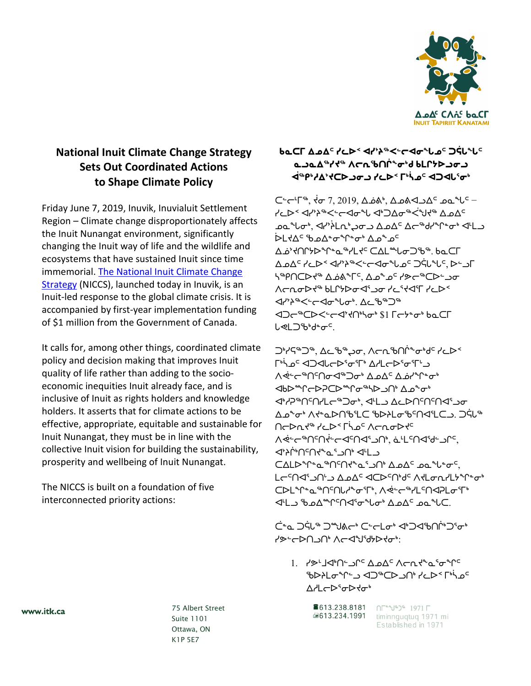

## **National Inuit Climate Change Strategy Sets Out Coordinated Actions to Shape Climate Policy**

Friday June 7, 2019, Inuvik, Inuvialuit Settlement Region – Climate change disproportionately affects the Inuit Nunangat environment, significantly changing the Inuit way of life and the wildlife and ecosystems that have sustained Inuit since time immemorial. [The National Inuit Climate Change](https://www.itk.ca/national-inuit-climate-change-strategy/)  [Strategy](https://www.itk.ca/national-inuit-climate-change-strategy/) (NICCS), launched today in Inuvik, is an Inuit-led response to the global climate crisis. It is accompanied by first-year implementation funding of \$1 million from the Government of Canada.

It calls for, among other things, coordinated climate policy and decision making that improves Inuit quality of life rather than adding to the socioeconomic inequities Inuit already face, and is inclusive of Inuit as rights holders and knowledge holders. It asserts that for climate actions to be effective, appropriate, equitable and sustainable for Inuit Nunangat, they must be in line with the collective Inuit vision for building the sustainability, prosperity and wellbeing of Inuit Nunangat.

The NICCS is built on a foundation of five interconnected priority actions:

**ᑲᓇᑕᒥ ᐃᓄᐃᑦ ᓯᓚᐅᑉ ᐊᓯᔾᔨᖅᐸᓪᓕᐊᓂᖓᓄᑦ ᑐᕌᒐᖓᑦ ᓇᓗᓇᐃᖅᓯᔪᖅ ᐱᓕᕆᖃᑎᒌᖕᓂᒃᑯ ᑲᒪᒋᔭᐅᓗᓂᓗ ᐋᖅᑭᒃᓱᐃᔾᔪᑕᐅᓗᓂᓗ ᓯᓚᐅᑉ ᒥᒃᓵᓄᑦ ᐊᑐᐊᒐᕐᓂᒃ**

ᑕᓪᓕᒻᒥᖅ, ᔫᓂ 7, 2019, ᐃᓅᕕᒃ, ᐃᓄᕕᐊᓗᐃᑦ ᓄᓇᖓᑦ − ⊀دَل < طابم محدث حواص<sup>م</sup>ل طابع محدث طابعة كمك د که *°ل<del>ه `` کاه کا که که که که ده</del> طابق و*نه علم است که مخا <sup>6</sup> که اس می هم نهای خصوصه ᐃᓅᔾᔪᑎᒋᔭᐅᖏᓐᓇᖅᓯᒪᔪᑦ ᑕᐃᒪᙵᓂᑐᖃᖅ. ᑲᓇᑕᒥ ᐃᓄᐃᑦ ᓯᓚᐅᑉ ᐊᓯᔾᔨᖅᐸᓪᓕᐊᓂᖓᓄᑦ ᑐᕌᒐᖓᑦ, ᐅᓪᓗᒥ ᓴᖅᑭᑎᑕᐅᔪᖅ ᐃᓅᕕᖕᒥᑦ, ᐃᓄᖕᓄᑦ ᓯᕗᓕᖅᑕᐅᓪᓗᓂ  $\Lambda$  < a d  $\Lambda$ ᐊᓯᔾᔨᖅᐸᓪᓕᐊᓂᖓᓂᒃ. ᐃᓚᖃᖅᑐᖅ **IQ**← CD< ّ<</><</>
< Ⴑ**⋖**ႱჂჼႻჼႻჼ

ᑐᒃᓯᕋᖅᑐᖅ, ᐃᓚᖃᖅᖢᓂ, ᐱᓕᕆᖃᑎᒌᖕᓂᒃᑯᑦ ᓯᓚᐅᑉ ∫<sup>₿</sup>∱∫ <mark>∘</mark> ץ II <del>∩</del> <u> ∧</u> خ⊸™∩`∩ ← ان ∆ه∸ن⇔ ا∕ △ △ △ضا\*۳ **IN™**℃ ᐊᒃᓱᕈᖅᑎᑦᑎᓯᒪᓕᖅᑐᓂᒃ, ᐊᒻᒪᓗ ᐃᓚᐅᑎᑦᑎᑦᑎᐊᕐᓗᓂ ᐃᓄᖕᓂᒃ ᐱᔪᓐᓇᐅᑎᖃᕐᒪᑕ ᖃᐅᔨᒪᓂᖃᑦᑎᐊᕐᒪᑕᓗ. ᑐᕌᒐᖅ ∩ <del>⊆</del> ∧خ∼ِصِ<sup>س</sup>∩∻⊱ح∩ط<sup>2</sup>∩∆، غ⊔د∩ط<sup>2</sup>ا∠ن ᐊᔾᔨᒌᒃᑎᑦᑎᔪᖕᓇᕐᓗᑎᒃ ᐊᒻᒪᓗ ⊂∆LD°r° and 10A° and 10A° LC<sup>C</sup>NS' JN' ADA<sup>C</sup> SCPCN'de ATLon/LyºC.o ᑕᐅᒪᖏᓐᓇᖅᑎᑦᑎᒐᓱᖕᓂᕐᒥᒃ, ᐱᕚᓪᓕᖅᓯᒪᑦᑎᐊᕈᒪᓂᕐᒥᒃ ᐊᒻᒪᓗ ᖃᓄᐃᙱᑦᑎᐊᕐᓂᖓᓂᒃ ᐃᓄᐃᑦ ᓄᓇᖓᑕ.

ڪُش ⊃خلا<sup>م</sup> کشاھڪ' ⊂∸طلحہ ← ا⊃طال اُڀ∕ن حہ ᓯᕗᓪᓕᐅᑎᓗᑎᒃ ᐱᓕᐊᖑᖁᔭᐅᔪᓂᒃ:

1. ᓯᕗᒻᒧᐊᒃᑎᓪᓗᒋᑦ ᐃᓄᐃᑦ ᐱᓕᕆᔪᖕᓇᕐᓂᖏᑦ َّص ליי √ے DAC ⊂ل> ∩° לכ4< רי<sup>ו</sup>י ᐃᓱᒪᓕᐅᕐᓂᐅᔪᓂᒃ

> 8613.238.8181 ∩Г<sup>ен</sup>⊎®>® 1971 Г △613.234.1991 timinnquqtuq 1971 mi

Established in 1971

www.itk.ca

 75 Albert Street Suite 1101 Ottawa, ON K1P 5E7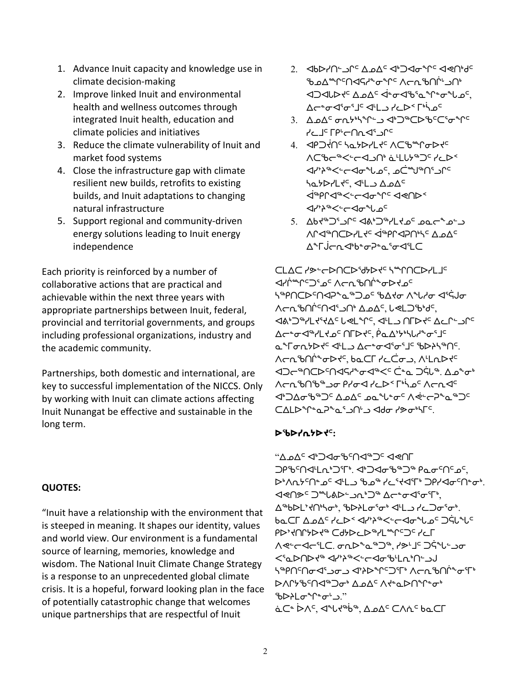- 1. Advance Inuit capacity and knowledge use in climate decision-making
- 2. Improve linked Inuit and environmental health and wellness outcomes through integrated Inuit health, education and climate policies and initiatives
- 3. Reduce the climate vulnerability of Inuit and market food systems
- 4. Close the infrastructure gap with climate resilient new builds, retrofits to existing builds, and Inuit adaptations to changing natural infrastructure
- 5. Support regional and community-driven energy solutions leading to Inuit energy independence

Each priority is reinforced by a number of collaborative actions that are practical and achievable within the next three years with appropriate partnerships between Inuit, federal, provincial and territorial governments, and groups including professional organizations, industry and the academic community.

Partnerships, both domestic and international, are key to successful implementation of the NICCS. Only by working with Inuit can climate actions affecting Inuit Nunangat be effective and sustainable in the long term.

## **QUOTES:**

"Inuit have a relationship with the environment that is steeped in meaning. It shapes our identity, values and world view. Our environment is a fundamental source of learning, memories, knowledge and wisdom. The National Inuit Climate Change Strategy is a response to an unprecedented global climate crisis. It is a hopeful, forward looking plan in the face of potentially catastrophic change that welcomes unique partnerships that are respectful of Inuit

- 2. ᐊᑲᐅᓯᑎᓪᓗᒋᑦ ᐃᓄᐃᑦ ᐊᒃᑐᐊᓂᖏᑦ ᐊᕙᑎᒃᑯᑦ ᡃᢐ᠊ᢦᡯᢛᡰᢂᢞᢣᢁᢞ᠘ᢆ ⊲⊃⊲∪ܐלי ∆⊾∆ ≺†∼∀י ≁שי  $\Delta$ antary and all alternative strategy
- 3. ΔρΔ<sup>ς</sup> ση<sup>γιγρ</sup>ίω ΦΟ<sup>ρ</sup>ΌΡδΌς σ<sup>υρς</sup> ᓯᓚᒧᑦ ᒥᑭᒡᓕᑎᕆᐊᕐᓗᒋᑦ
- 4. PHO ON THE SALE OF THE SALE ∧C'be<sup>-</sup> → < الحال<sup>2</sup> ᠪᢦ᠉ᢋ᠅ᢞᢞᡳᢄᡆᢞᡫᢁᡕᢆ᠗ ᓴᓇᔭᐅᓯᒪᔪᑦ, ᐊᒻᒪᓗ ᐃᓄᐃᑦ ᐋᖅᑭᒋᐊᖅᐸᓪᓕᐊᓂᖏᑦ ᐊᕙᑎᐅᑉ ᐊᓯᔾᔨᖅᐸᓪᓕᐊᓂᖓᓄᑦ
- 5. ᐃᑲᔪᖅᑐᕐᓗᒋᑦ ᐊᕕᒃᑐᖅᓯᒪᔪᓄᑦ ᓄᓇᓕᖕᓄᓪᓗ ∧Ր⊲™Ո⊂⊳≀L⊀⊂ I™AP∩™⊆∆⊿∆⊂ ᠘è「ä

ᑕᒪᐃᑕ ᓯᕗᓪᓕᐅᑎᑕᐅᖁᔭᐅᔪᑦ ᓴᙱᑎᑕᐅᓯᒪᒧᑦ ظ\زُ <del>س</del>ُل⊂℃ ٌه √د∪ي‰ن ح4≺ه د ייβ∩⊂⊳י∩שלף *∼*יים <sup>פי</sup>ים ייקום יא לילות "Arn<sup>9</sup>γ⊌ליים Arn<sup>9</sup> A⊿o∆, שבר ᐊᕕᒃᑐᖅᓯᒪᔪᕐᔪᐃᑦ ᒐᕙᒪᖏᑦ, ᐊᒻᒪᓗ ᑎᒥᐅᔪᑦ ᐃᓚᒋᓪᓗᒋᑦ ∆←←<del>ت ⊲</del>™ال ל⊿د ∩ר4ק فص⁄ לי 4 לי م 1∀Gr/4√ عليه المسابح المسابح المسابح المسابح المسابح المسابح. ∧ק∩°° <del>∿ </del>⊿∕°, ש⊿כך יככׄס∟, ∧ינת كَاܐ ٱܘܪܘܘ II ذَابِكَ الْكَابَ الْكَابَ الْكَابَ الْكَابَ الْكَابَ الْكَابَ الْكَابَ الْكَابَ الْكَا ᐱᓕᕆᖃᑎᖃᖅᓗᓂ ᑭᓯᓂᐊ ᓯᓚᐅᑉ ᒥᒃᓵᓄᑦ ᐱᓕᕆᐊᑦ ᐊᒃᑐᐃᓂᖃᖅᑐᑦ ᐃᓄᐃᑦ ᓄᓇᖓᓐᓂᑦ ᐱᕚᓪᓕᕈᖕᓇᖅᑐᑦ ᑕᐃᒪᐅᖏᓐᓇᕈᖕᓇᕐᓗᑎᒡᓗ ᐊᑯᓂ ᓯᕗᓂᒃᓴᒥᑦ.

## **ᐅᖃᐅᓯᕆᔭᐅᔪᑦ:**

"∠⊿⊿ץ ∍∆⊿د לש∩ך ጋρъና∩<ՎL∩ ነጋኘ የ ይተነበረ የ አማራ የ Ασ<sup>σ</sup>Ως ∫ ᐅᒃᐱᕆᔭᑦᑎᓐᓄᑦ ᐊᒻᒪᓗ ᖃᓄᖅ ᓯᓚᕐᔪᐊᕐᒥᒃ ᑐᑭᓯᐊᓂᑦᑎᓐᓂᒃ. **J**<D<sup>"</sup> <d<D"<br/>  $\Delta$  $\Delta^4$ b $D^1$ ,  $\Delta^4$ b $D^1$ ,  $\Delta^4$ ,  $\Delta^5$ Ხ௳Ċℾ*∆*ℴ∆<sup></sup> ∙/دܐ ⊲ √ ֹן ⁄ ג∼∈⊲<del>∼</del> ⁄ ∪ `∩خل°ر <sup>د</sup> **PD'YOCY® CdyDCD®YL®^CDCYCL** <u> </u> ∧תֵּ←לְהֲ 15. סְתֲ ᐸᕐᓇᐅᑎᐅᔪᖅ ᐊᓯᔾᔨᖅᐸᓪᓕᐊᓂᖃᒻᒪᕆᒃᑎᓪᓗᒍ ᡃᡪჼ*᠌᠌᠍ᠲ*᠀ᡤ᠉ᠫ᠅ᢂ᠅ᢂ᠅ᢂ᠅᠅ᢒᠬᠷ ᐅᐱᒋᔭᖃᑦᑎᐊᖅᑐᓂᒃ ᐃᓄᐃᑦ ᐱᔪᓐᓇᐅᑎᖏᓐᓂᒃ ჼᲮ▷ᲑL<sub>℺</sub>ԳՐ≞Ժ഻*ℶ*." غ⊂ٌ ܐُ∧ٍ ≮"لا *ا∗*" ¿����, ∆ے∆ٍ ⊂∧ۂ فص